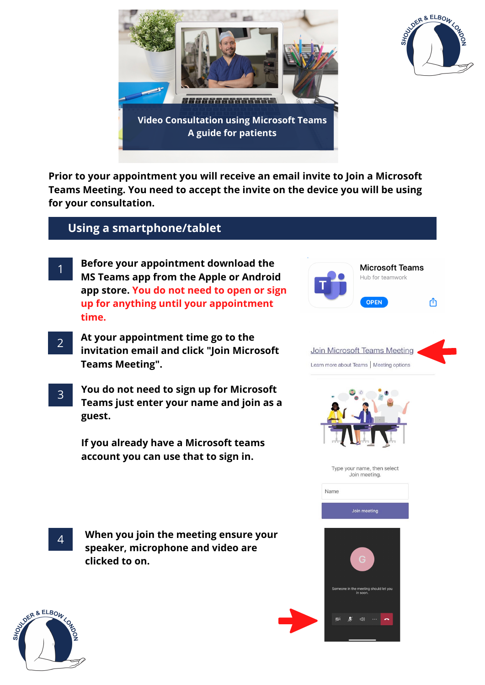



**Prior to your appointment you will receive an email invite to Join a Microsoft Teams Meeting. You need to accept the invite on the device you will be using for your consultation.**

## **Using a smartphone/tablet**

- 1 **Before your appointment download the MS Teams app from the Apple or Android app store. You do not need to open or sign up for anything until your appointment time.**
- 2 **At your appointment time go to the invitation email and click "Join Microsoft Teams Meeting".**
- 3 **You do not need to sign up for Microsoft Teams just enter your name and join as a guest.**

**If you already have a Microsoft teams account you can use that to sign in.**

**When you join the meeting ensure your speaker, microphone and video are**

**OPEN** ௴ Join Microsoft Teams Meeting Learn more about Teams | Meeting options Type your name, then select Join meeting. Name Join meeting ting should let you  $\triangleleft$ 

**Microsoft Teams** Hub for teamwork



4

**clicked to on.**